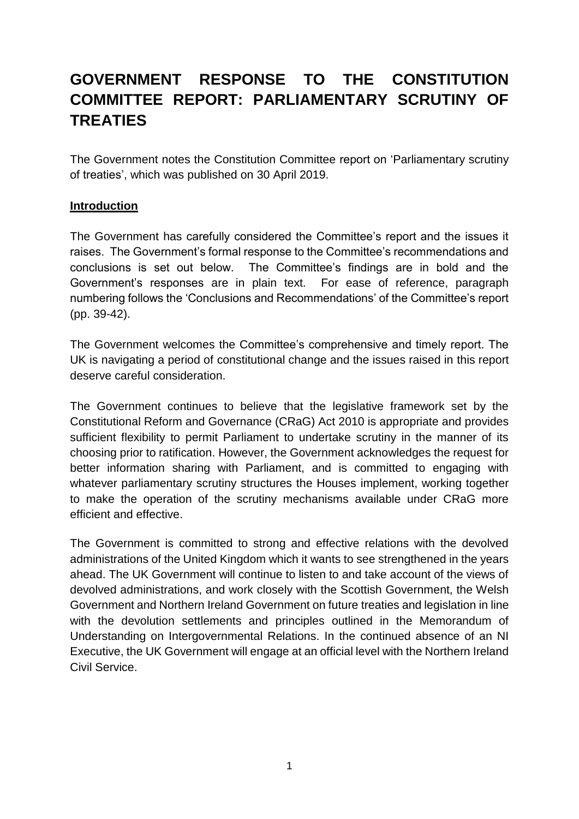# **GOVERNMENT RESPONSE TO THE CONSTITUTION COMMITTEE REPORT: PARLIAMENTARY SCRUTINY OF TREATIES**

The Government notes the Constitution Committee report on 'Parliamentary scrutiny of treaties', which was published on 30 April 2019.

## **Introduction**

The Government has carefully considered the Committee's report and the issues it raises. The Government's formal response to the Committee's recommendations and conclusions is set out below. The Committee's findings are in bold and the Government's responses are in plain text. For ease of reference, paragraph numbering follows the 'Conclusions and Recommendations' of the Committee's report (pp. 39-42).

The Government welcomes the Committee's comprehensive and timely report. The UK is navigating a period of constitutional change and the issues raised in this report deserve careful consideration.

The Government continues to believe that the legislative framework set by the Constitutional Reform and Governance (CRaG) Act 2010 is appropriate and provides sufficient flexibility to permit Parliament to undertake scrutiny in the manner of its choosing prior to ratification. However, the Government acknowledges the request for better information sharing with Parliament, and is committed to engaging with whatever parliamentary scrutiny structures the Houses implement, working together to make the operation of the scrutiny mechanisms available under CRaG more efficient and effective.

The Government is committed to strong and effective relations with the devolved administrations of the United Kingdom which it wants to see strengthened in the years ahead. The UK Government will continue to listen to and take account of the views of devolved administrations, and work closely with the Scottish Government, the Welsh Government and Northern Ireland Government on future treaties and legislation in line with the devolution settlements and principles outlined in the Memorandum of Understanding on Intergovernmental Relations. In the continued absence of an NI Executive, the UK Government will engage at an official level with the Northern Ireland Civil Service.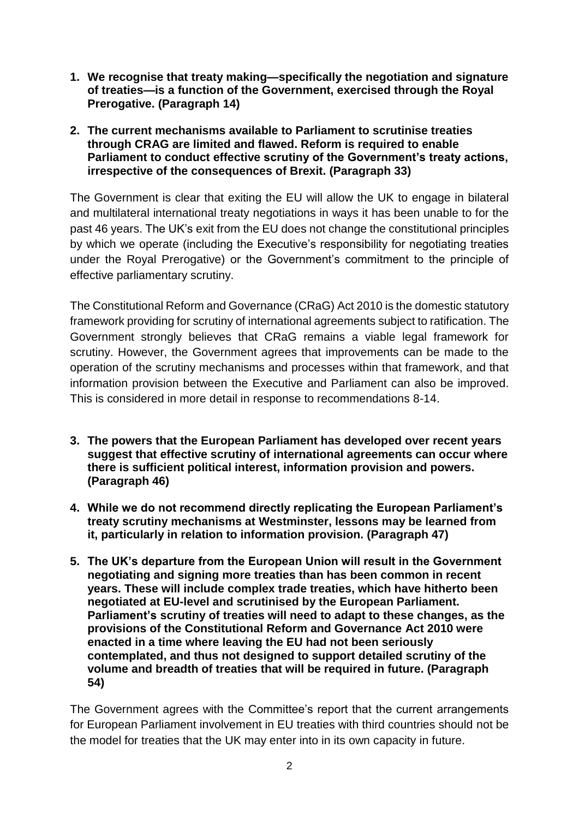- **1. We recognise that treaty making—specifically the negotiation and signature of treaties—is a function of the Government, exercised through the Royal Prerogative. (Paragraph 14)**
- **2. The current mechanisms available to Parliament to scrutinise treaties through CRAG are limited and flawed. Reform is required to enable Parliament to conduct effective scrutiny of the Government's treaty actions, irrespective of the consequences of Brexit. (Paragraph 33)**

The Government is clear that exiting the EU will allow the UK to engage in bilateral and multilateral international treaty negotiations in ways it has been unable to for the past 46 years. The UK's exit from the EU does not change the constitutional principles by which we operate (including the Executive's responsibility for negotiating treaties under the Royal Prerogative) or the Government's commitment to the principle of effective parliamentary scrutiny.

The Constitutional Reform and Governance (CRaG) Act 2010 is the domestic statutory framework providing for scrutiny of international agreements subject to ratification. The Government strongly believes that CRaG remains a viable legal framework for scrutiny. However, the Government agrees that improvements can be made to the operation of the scrutiny mechanisms and processes within that framework, and that information provision between the Executive and Parliament can also be improved. This is considered in more detail in response to recommendations 8-14.

- **3. The powers that the European Parliament has developed over recent years suggest that effective scrutiny of international agreements can occur where there is sufficient political interest, information provision and powers. (Paragraph 46)**
- **4. While we do not recommend directly replicating the European Parliament's treaty scrutiny mechanisms at Westminster, lessons may be learned from it, particularly in relation to information provision. (Paragraph 47)**
- **5. The UK's departure from the European Union will result in the Government negotiating and signing more treaties than has been common in recent years. These will include complex trade treaties, which have hitherto been negotiated at EU-level and scrutinised by the European Parliament. Parliament's scrutiny of treaties will need to adapt to these changes, as the provisions of the Constitutional Reform and Governance Act 2010 were enacted in a time where leaving the EU had not been seriously contemplated, and thus not designed to support detailed scrutiny of the volume and breadth of treaties that will be required in future. (Paragraph 54)**

The Government agrees with the Committee's report that the current arrangements for European Parliament involvement in EU treaties with third countries should not be the model for treaties that the UK may enter into in its own capacity in future.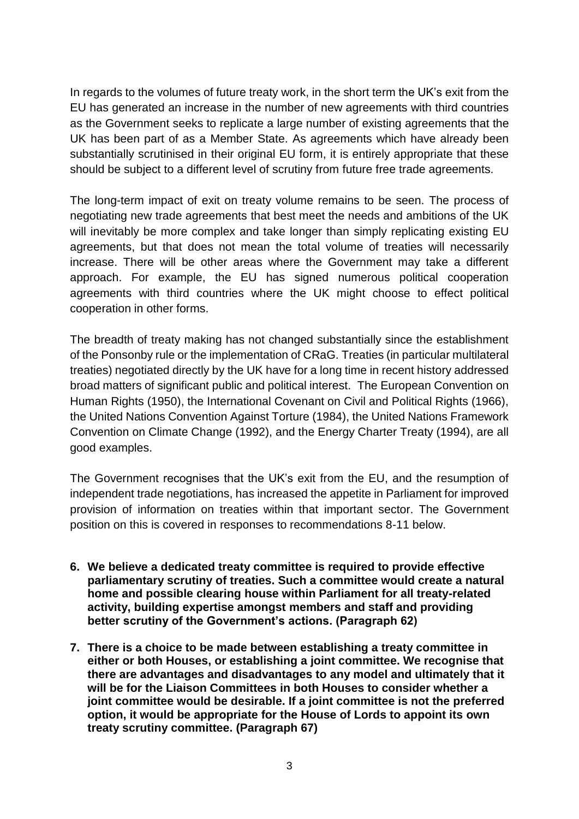In regards to the volumes of future treaty work, in the short term the UK's exit from the EU has generated an increase in the number of new agreements with third countries as the Government seeks to replicate a large number of existing agreements that the UK has been part of as a Member State. As agreements which have already been substantially scrutinised in their original EU form, it is entirely appropriate that these should be subject to a different level of scrutiny from future free trade agreements.

The long-term impact of exit on treaty volume remains to be seen. The process of negotiating new trade agreements that best meet the needs and ambitions of the UK will inevitably be more complex and take longer than simply replicating existing EU agreements, but that does not mean the total volume of treaties will necessarily increase. There will be other areas where the Government may take a different approach. For example, the EU has signed numerous political cooperation agreements with third countries where the UK might choose to effect political cooperation in other forms.

The breadth of treaty making has not changed substantially since the establishment of the Ponsonby rule or the implementation of CRaG. Treaties (in particular multilateral treaties) negotiated directly by the UK have for a long time in recent history addressed broad matters of significant public and political interest. The European Convention on Human Rights (1950), the International Covenant on Civil and Political Rights (1966), the United Nations Convention Against Torture (1984), the United Nations Framework Convention on Climate Change (1992), and the Energy Charter Treaty (1994), are all good examples.

The Government recognises that the UK's exit from the EU, and the resumption of independent trade negotiations, has increased the appetite in Parliament for improved provision of information on treaties within that important sector. The Government position on this is covered in responses to recommendations 8-11 below.

- **6. We believe a dedicated treaty committee is required to provide effective parliamentary scrutiny of treaties. Such a committee would create a natural home and possible clearing house within Parliament for all treaty-related activity, building expertise amongst members and staff and providing better scrutiny of the Government's actions. (Paragraph 62)**
- **7. There is a choice to be made between establishing a treaty committee in either or both Houses, or establishing a joint committee. We recognise that there are advantages and disadvantages to any model and ultimately that it will be for the Liaison Committees in both Houses to consider whether a joint committee would be desirable. If a joint committee is not the preferred option, it would be appropriate for the House of Lords to appoint its own treaty scrutiny committee. (Paragraph 67)**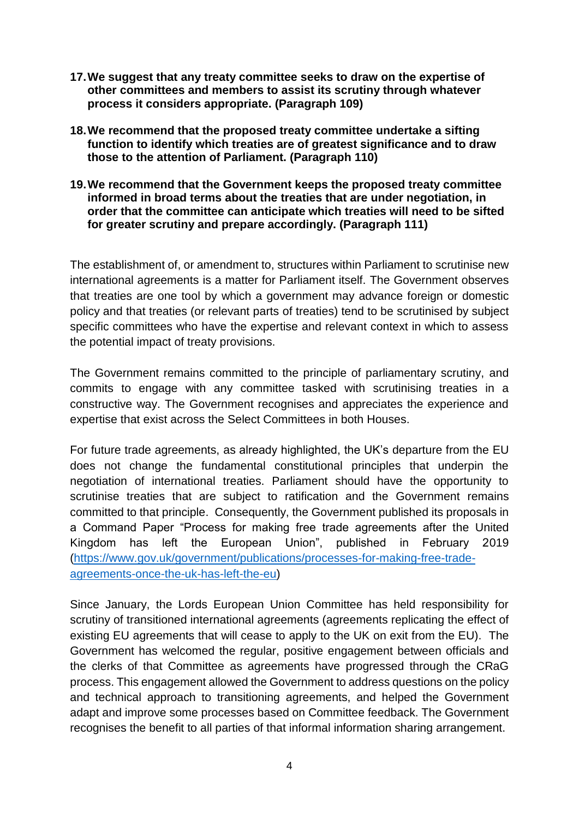- **17.We suggest that any treaty committee seeks to draw on the expertise of other committees and members to assist its scrutiny through whatever process it considers appropriate. (Paragraph 109)**
- **18.We recommend that the proposed treaty committee undertake a sifting function to identify which treaties are of greatest significance and to draw those to the attention of Parliament. (Paragraph 110)**
- **19.We recommend that the Government keeps the proposed treaty committee informed in broad terms about the treaties that are under negotiation, in order that the committee can anticipate which treaties will need to be sifted for greater scrutiny and prepare accordingly. (Paragraph 111)**

The establishment of, or amendment to, structures within Parliament to scrutinise new international agreements is a matter for Parliament itself. The Government observes that treaties are one tool by which a government may advance foreign or domestic policy and that treaties (or relevant parts of treaties) tend to be scrutinised by subject specific committees who have the expertise and relevant context in which to assess the potential impact of treaty provisions.

The Government remains committed to the principle of parliamentary scrutiny, and commits to engage with any committee tasked with scrutinising treaties in a constructive way. The Government recognises and appreciates the experience and expertise that exist across the Select Committees in both Houses.

For future trade agreements, as already highlighted, the UK's departure from the EU does not change the fundamental constitutional principles that underpin the negotiation of international treaties. Parliament should have the opportunity to scrutinise treaties that are subject to ratification and the Government remains committed to that principle. Consequently, the Government published its proposals in a Command Paper "Process for making free trade agreements after the United Kingdom has left the European Union", published in February 2019 [\(https://www.gov.uk/government/publications/processes-for-making-free-trade](https://www.gov.uk/government/publications/processes-for-making-free-trade-agreements-once-the-uk-has-left-the-eu)[agreements-once-the-uk-has-left-the-eu\)](https://www.gov.uk/government/publications/processes-for-making-free-trade-agreements-once-the-uk-has-left-the-eu)

Since January, the Lords European Union Committee has held responsibility for scrutiny of transitioned international agreements (agreements replicating the effect of existing EU agreements that will cease to apply to the UK on exit from the EU). The Government has welcomed the regular, positive engagement between officials and the clerks of that Committee as agreements have progressed through the CRaG process. This engagement allowed the Government to address questions on the policy and technical approach to transitioning agreements, and helped the Government adapt and improve some processes based on Committee feedback. The Government recognises the benefit to all parties of that informal information sharing arrangement.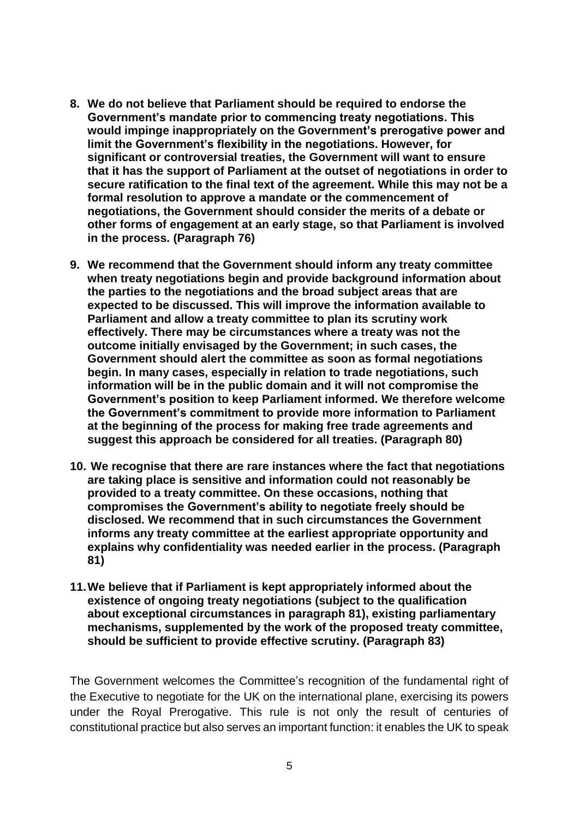- **8. We do not believe that Parliament should be required to endorse the Government's mandate prior to commencing treaty negotiations. This would impinge inappropriately on the Government's prerogative power and limit the Government's flexibility in the negotiations. However, for significant or controversial treaties, the Government will want to ensure that it has the support of Parliament at the outset of negotiations in order to secure ratification to the final text of the agreement. While this may not be a formal resolution to approve a mandate or the commencement of negotiations, the Government should consider the merits of a debate or other forms of engagement at an early stage, so that Parliament is involved in the process. (Paragraph 76)**
- **9. We recommend that the Government should inform any treaty committee when treaty negotiations begin and provide background information about the parties to the negotiations and the broad subject areas that are expected to be discussed. This will improve the information available to Parliament and allow a treaty committee to plan its scrutiny work effectively. There may be circumstances where a treaty was not the outcome initially envisaged by the Government; in such cases, the Government should alert the committee as soon as formal negotiations begin. In many cases, especially in relation to trade negotiations, such information will be in the public domain and it will not compromise the Government's position to keep Parliament informed. We therefore welcome the Government's commitment to provide more information to Parliament at the beginning of the process for making free trade agreements and suggest this approach be considered for all treaties. (Paragraph 80)**
- **10. We recognise that there are rare instances where the fact that negotiations are taking place is sensitive and information could not reasonably be provided to a treaty committee. On these occasions, nothing that compromises the Government's ability to negotiate freely should be disclosed. We recommend that in such circumstances the Government informs any treaty committee at the earliest appropriate opportunity and explains why confidentiality was needed earlier in the process. (Paragraph 81)**
- **11.We believe that if Parliament is kept appropriately informed about the existence of ongoing treaty negotiations (subject to the qualification about exceptional circumstances in paragraph 81), existing parliamentary mechanisms, supplemented by the work of the proposed treaty committee, should be sufficient to provide effective scrutiny. (Paragraph 83)**

The Government welcomes the Committee's recognition of the fundamental right of the Executive to negotiate for the UK on the international plane, exercising its powers under the Royal Prerogative. This rule is not only the result of centuries of constitutional practice but also serves an important function: it enables the UK to speak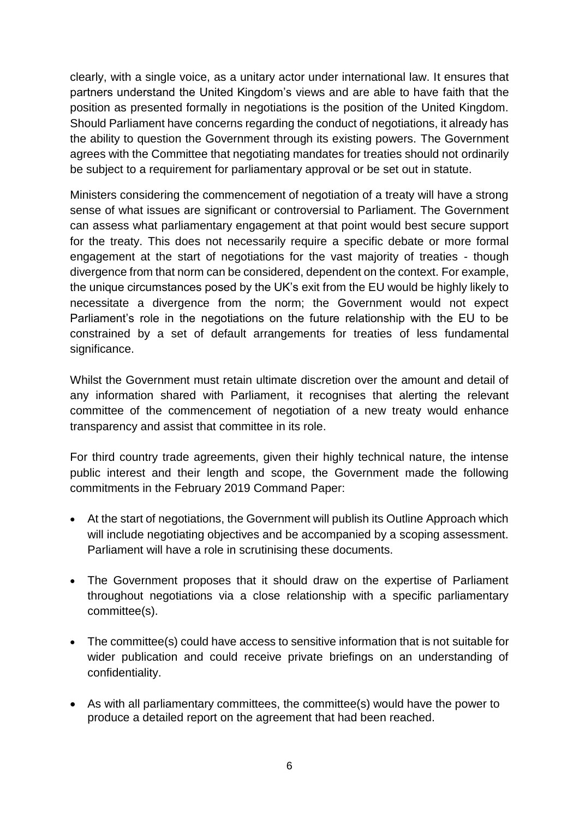clearly, with a single voice, as a unitary actor under international law. It ensures that partners understand the United Kingdom's views and are able to have faith that the position as presented formally in negotiations is the position of the United Kingdom. Should Parliament have concerns regarding the conduct of negotiations, it already has the ability to question the Government through its existing powers. The Government agrees with the Committee that negotiating mandates for treaties should not ordinarily be subject to a requirement for parliamentary approval or be set out in statute.

Ministers considering the commencement of negotiation of a treaty will have a strong sense of what issues are significant or controversial to Parliament. The Government can assess what parliamentary engagement at that point would best secure support for the treaty. This does not necessarily require a specific debate or more formal engagement at the start of negotiations for the vast majority of treaties - though divergence from that norm can be considered, dependent on the context. For example, the unique circumstances posed by the UK's exit from the EU would be highly likely to necessitate a divergence from the norm; the Government would not expect Parliament's role in the negotiations on the future relationship with the EU to be constrained by a set of default arrangements for treaties of less fundamental significance.

Whilst the Government must retain ultimate discretion over the amount and detail of any information shared with Parliament, it recognises that alerting the relevant committee of the commencement of negotiation of a new treaty would enhance transparency and assist that committee in its role.

For third country trade agreements, given their highly technical nature, the intense public interest and their length and scope, the Government made the following commitments in the February 2019 Command Paper:

- At the start of negotiations, the Government will publish its Outline Approach which will include negotiating objectives and be accompanied by a scoping assessment. Parliament will have a role in scrutinising these documents.
- The Government proposes that it should draw on the expertise of Parliament throughout negotiations via a close relationship with a specific parliamentary committee(s).
- The committee(s) could have access to sensitive information that is not suitable for wider publication and could receive private briefings on an understanding of confidentiality.
- As with all parliamentary committees, the committee(s) would have the power to produce a detailed report on the agreement that had been reached.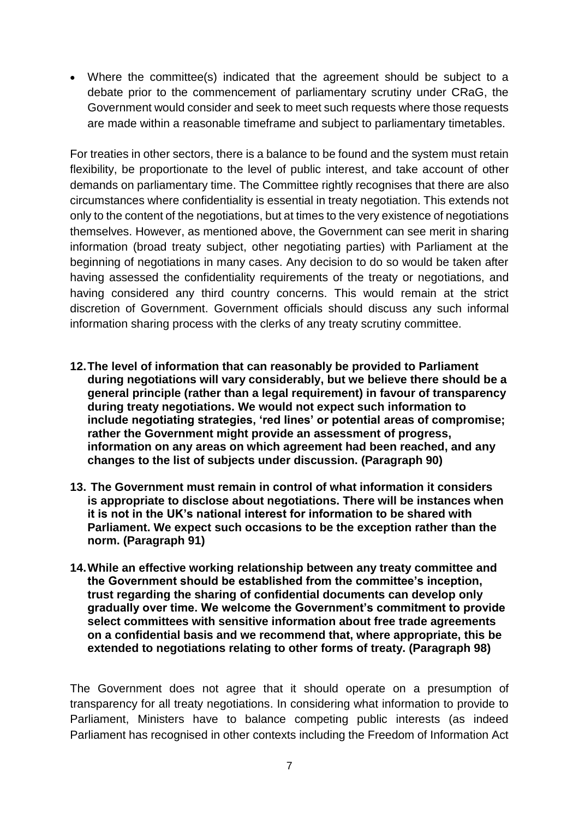• Where the committee(s) indicated that the agreement should be subject to a debate prior to the commencement of parliamentary scrutiny under CRaG, the Government would consider and seek to meet such requests where those requests are made within a reasonable timeframe and subject to parliamentary timetables.

For treaties in other sectors, there is a balance to be found and the system must retain flexibility, be proportionate to the level of public interest, and take account of other demands on parliamentary time. The Committee rightly recognises that there are also circumstances where confidentiality is essential in treaty negotiation. This extends not only to the content of the negotiations, but at times to the very existence of negotiations themselves. However, as mentioned above, the Government can see merit in sharing information (broad treaty subject, other negotiating parties) with Parliament at the beginning of negotiations in many cases. Any decision to do so would be taken after having assessed the confidentiality requirements of the treaty or negotiations, and having considered any third country concerns. This would remain at the strict discretion of Government. Government officials should discuss any such informal information sharing process with the clerks of any treaty scrutiny committee.

- **12.The level of information that can reasonably be provided to Parliament during negotiations will vary considerably, but we believe there should be a general principle (rather than a legal requirement) in favour of transparency during treaty negotiations. We would not expect such information to include negotiating strategies, 'red lines' or potential areas of compromise; rather the Government might provide an assessment of progress, information on any areas on which agreement had been reached, and any changes to the list of subjects under discussion. (Paragraph 90)**
- **13. The Government must remain in control of what information it considers is appropriate to disclose about negotiations. There will be instances when it is not in the UK's national interest for information to be shared with Parliament. We expect such occasions to be the exception rather than the norm. (Paragraph 91)**
- **14.While an effective working relationship between any treaty committee and the Government should be established from the committee's inception, trust regarding the sharing of confidential documents can develop only gradually over time. We welcome the Government's commitment to provide select committees with sensitive information about free trade agreements on a confidential basis and we recommend that, where appropriate, this be extended to negotiations relating to other forms of treaty. (Paragraph 98)**

The Government does not agree that it should operate on a presumption of transparency for all treaty negotiations. In considering what information to provide to Parliament, Ministers have to balance competing public interests (as indeed Parliament has recognised in other contexts including the Freedom of Information Act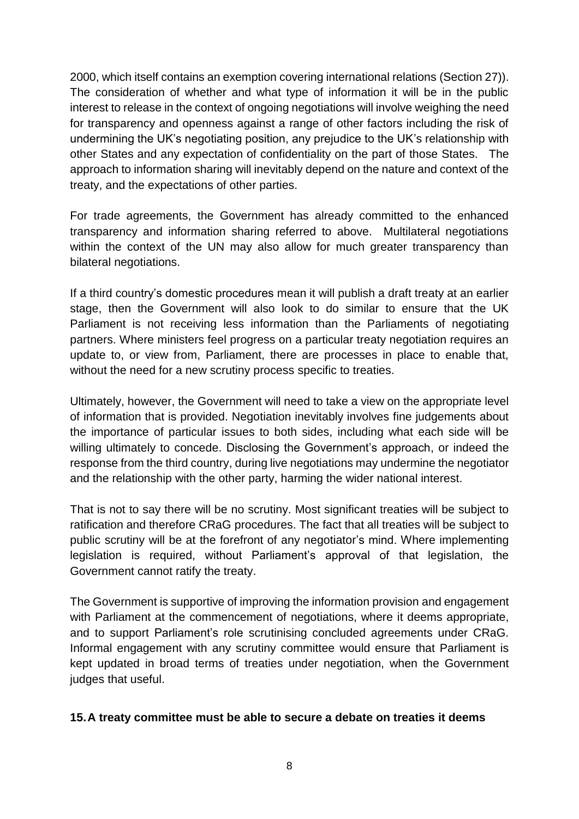2000, which itself contains an exemption covering international relations (Section 27)). The consideration of whether and what type of information it will be in the public interest to release in the context of ongoing negotiations will involve weighing the need for transparency and openness against a range of other factors including the risk of undermining the UK's negotiating position, any prejudice to the UK's relationship with other States and any expectation of confidentiality on the part of those States. The approach to information sharing will inevitably depend on the nature and context of the treaty, and the expectations of other parties.

For trade agreements, the Government has already committed to the enhanced transparency and information sharing referred to above. Multilateral negotiations within the context of the UN may also allow for much greater transparency than bilateral negotiations.

If a third country's domestic procedures mean it will publish a draft treaty at an earlier stage, then the Government will also look to do similar to ensure that the UK Parliament is not receiving less information than the Parliaments of negotiating partners. Where ministers feel progress on a particular treaty negotiation requires an update to, or view from, Parliament, there are processes in place to enable that, without the need for a new scrutiny process specific to treaties.

Ultimately, however, the Government will need to take a view on the appropriate level of information that is provided. Negotiation inevitably involves fine judgements about the importance of particular issues to both sides, including what each side will be willing ultimately to concede. Disclosing the Government's approach, or indeed the response from the third country, during live negotiations may undermine the negotiator and the relationship with the other party, harming the wider national interest.

That is not to say there will be no scrutiny. Most significant treaties will be subject to ratification and therefore CRaG procedures. The fact that all treaties will be subject to public scrutiny will be at the forefront of any negotiator's mind. Where implementing legislation is required, without Parliament's approval of that legislation, the Government cannot ratify the treaty.

The Government is supportive of improving the information provision and engagement with Parliament at the commencement of negotiations, where it deems appropriate, and to support Parliament's role scrutinising concluded agreements under CRaG. Informal engagement with any scrutiny committee would ensure that Parliament is kept updated in broad terms of treaties under negotiation, when the Government judges that useful.

#### **15.A treaty committee must be able to secure a debate on treaties it deems**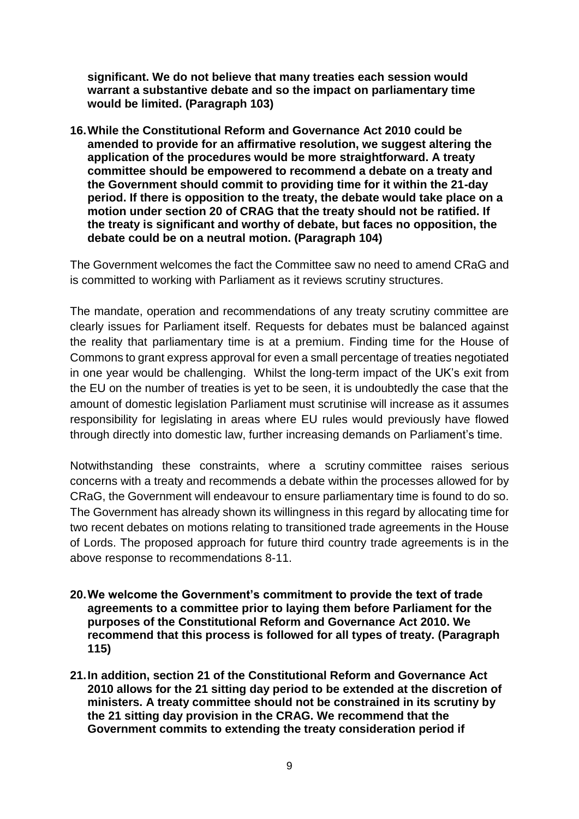**significant. We do not believe that many treaties each session would warrant a substantive debate and so the impact on parliamentary time would be limited. (Paragraph 103)**

**16.While the Constitutional Reform and Governance Act 2010 could be amended to provide for an affirmative resolution, we suggest altering the application of the procedures would be more straightforward. A treaty committee should be empowered to recommend a debate on a treaty and the Government should commit to providing time for it within the 21-day period. If there is opposition to the treaty, the debate would take place on a motion under section 20 of CRAG that the treaty should not be ratified. If the treaty is significant and worthy of debate, but faces no opposition, the debate could be on a neutral motion. (Paragraph 104)**

The Government welcomes the fact the Committee saw no need to amend CRaG and is committed to working with Parliament as it reviews scrutiny structures.

The mandate, operation and recommendations of any treaty scrutiny committee are clearly issues for Parliament itself. Requests for debates must be balanced against the reality that parliamentary time is at a premium. Finding time for the House of Commons to grant express approval for even a small percentage of treaties negotiated in one year would be challenging. Whilst the long-term impact of the UK's exit from the EU on the number of treaties is yet to be seen, it is undoubtedly the case that the amount of domestic legislation Parliament must scrutinise will increase as it assumes responsibility for legislating in areas where EU rules would previously have flowed through directly into domestic law, further increasing demands on Parliament's time.

Notwithstanding these constraints, where a scrutiny committee raises serious concerns with a treaty and recommends a debate within the processes allowed for by CRaG, the Government will endeavour to ensure parliamentary time is found to do so. The Government has already shown its willingness in this regard by allocating time for two recent debates on motions relating to transitioned trade agreements in the House of Lords. The proposed approach for future third country trade agreements is in the above response to recommendations 8-11.

- **20.We welcome the Government's commitment to provide the text of trade agreements to a committee prior to laying them before Parliament for the purposes of the Constitutional Reform and Governance Act 2010. We recommend that this process is followed for all types of treaty. (Paragraph 115)**
- **21.In addition, section 21 of the Constitutional Reform and Governance Act 2010 allows for the 21 sitting day period to be extended at the discretion of ministers. A treaty committee should not be constrained in its scrutiny by the 21 sitting day provision in the CRAG. We recommend that the Government commits to extending the treaty consideration period if**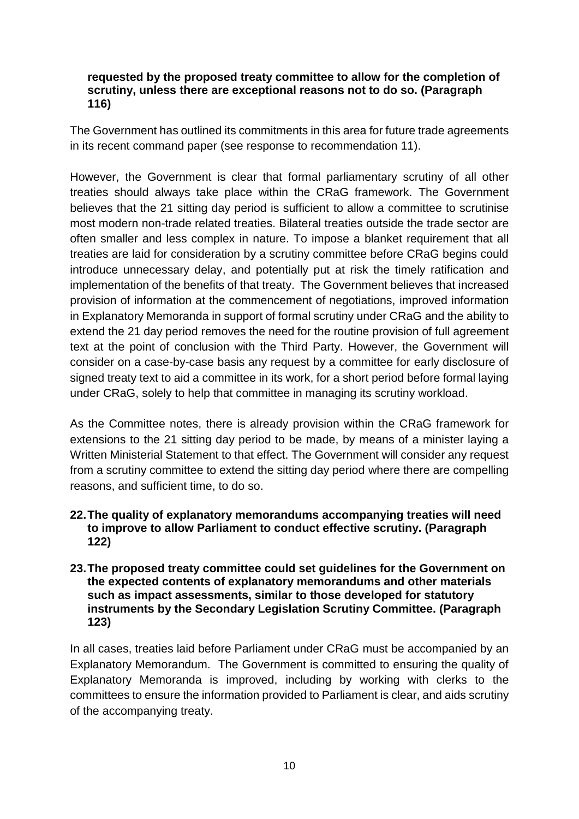### **requested by the proposed treaty committee to allow for the completion of scrutiny, unless there are exceptional reasons not to do so. (Paragraph 116)**

The Government has outlined its commitments in this area for future trade agreements in its recent command paper (see response to recommendation 11).

However, the Government is clear that formal parliamentary scrutiny of all other treaties should always take place within the CRaG framework. The Government believes that the 21 sitting day period is sufficient to allow a committee to scrutinise most modern non-trade related treaties. Bilateral treaties outside the trade sector are often smaller and less complex in nature. To impose a blanket requirement that all treaties are laid for consideration by a scrutiny committee before CRaG begins could introduce unnecessary delay, and potentially put at risk the timely ratification and implementation of the benefits of that treaty. The Government believes that increased provision of information at the commencement of negotiations, improved information in Explanatory Memoranda in support of formal scrutiny under CRaG and the ability to extend the 21 day period removes the need for the routine provision of full agreement text at the point of conclusion with the Third Party. However, the Government will consider on a case-by-case basis any request by a committee for early disclosure of signed treaty text to aid a committee in its work, for a short period before formal laying under CRaG, solely to help that committee in managing its scrutiny workload.

As the Committee notes, there is already provision within the CRaG framework for extensions to the 21 sitting day period to be made, by means of a minister laying a Written Ministerial Statement to that effect. The Government will consider any request from a scrutiny committee to extend the sitting day period where there are compelling reasons, and sufficient time, to do so.

- **22.The quality of explanatory memorandums accompanying treaties will need to improve to allow Parliament to conduct effective scrutiny. (Paragraph 122)**
- **23.The proposed treaty committee could set guidelines for the Government on the expected contents of explanatory memorandums and other materials such as impact assessments, similar to those developed for statutory instruments by the Secondary Legislation Scrutiny Committee. (Paragraph 123)**

In all cases, treaties laid before Parliament under CRaG must be accompanied by an Explanatory Memorandum. The Government is committed to ensuring the quality of Explanatory Memoranda is improved, including by working with clerks to the committees to ensure the information provided to Parliament is clear, and aids scrutiny of the accompanying treaty.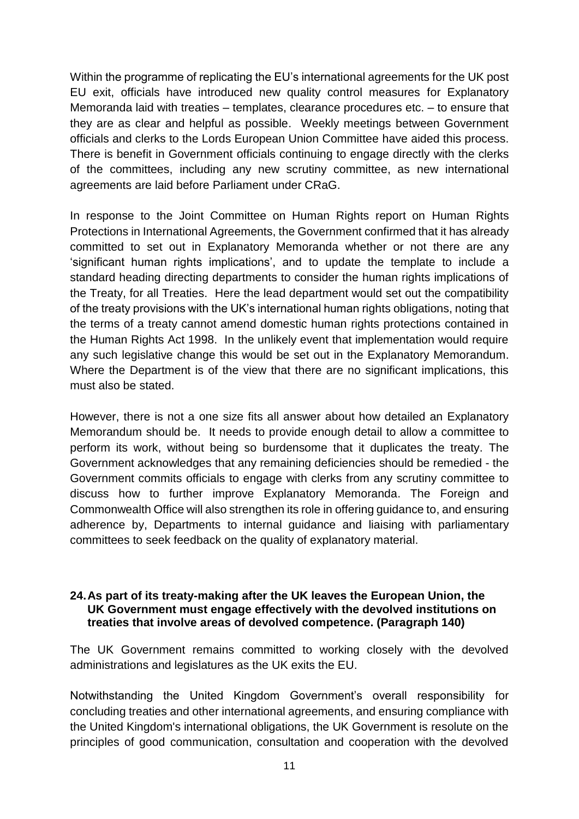Within the programme of replicating the EU's international agreements for the UK post EU exit, officials have introduced new quality control measures for Explanatory Memoranda laid with treaties – templates, clearance procedures etc. – to ensure that they are as clear and helpful as possible. Weekly meetings between Government officials and clerks to the Lords European Union Committee have aided this process. There is benefit in Government officials continuing to engage directly with the clerks of the committees, including any new scrutiny committee, as new international agreements are laid before Parliament under CRaG.

In response to the Joint Committee on Human Rights report on Human Rights Protections in International Agreements, the Government confirmed that it has already committed to set out in Explanatory Memoranda whether or not there are any 'significant human rights implications', and to update the template to include a standard heading directing departments to consider the human rights implications of the Treaty, for all Treaties. Here the lead department would set out the compatibility of the treaty provisions with the UK's international human rights obligations, noting that the terms of a treaty cannot amend domestic human rights protections contained in the Human Rights Act 1998. In the unlikely event that implementation would require any such legislative change this would be set out in the Explanatory Memorandum. Where the Department is of the view that there are no significant implications, this must also be stated.

However, there is not a one size fits all answer about how detailed an Explanatory Memorandum should be. It needs to provide enough detail to allow a committee to perform its work, without being so burdensome that it duplicates the treaty. The Government acknowledges that any remaining deficiencies should be remedied - the Government commits officials to engage with clerks from any scrutiny committee to discuss how to further improve Explanatory Memoranda. The Foreign and Commonwealth Office will also strengthen its role in offering guidance to, and ensuring adherence by, Departments to internal guidance and liaising with parliamentary committees to seek feedback on the quality of explanatory material.

#### **24.As part of its treaty-making after the UK leaves the European Union, the UK Government must engage effectively with the devolved institutions on treaties that involve areas of devolved competence. (Paragraph 140)**

The UK Government remains committed to working closely with the devolved administrations and legislatures as the UK exits the EU.

Notwithstanding the United Kingdom Government's overall responsibility for concluding treaties and other international agreements, and ensuring compliance with the United Kingdom's international obligations, the UK Government is resolute on the principles of good communication, consultation and cooperation with the devolved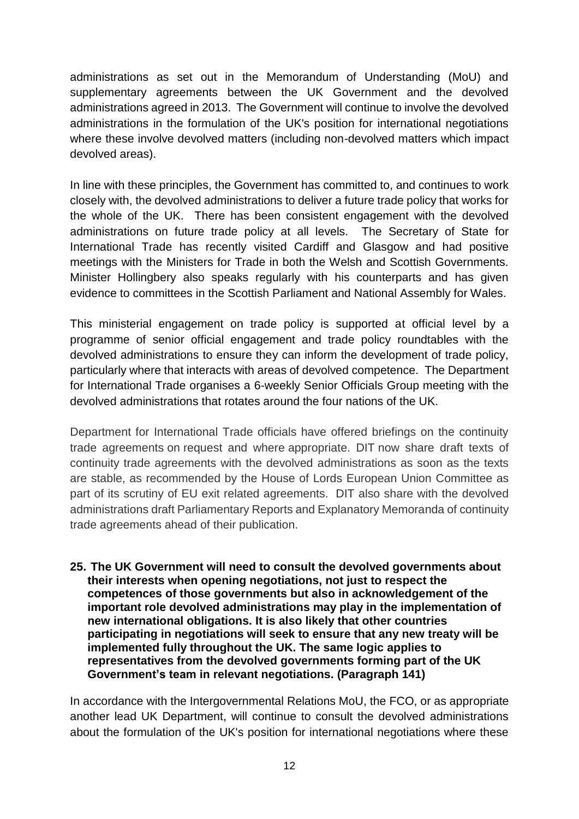administrations as set out in the Memorandum of Understanding (MoU) and supplementary agreements between the UK Government and the devolved administrations agreed in 2013. The Government will continue to involve the devolved administrations in the formulation of the UK's position for international negotiations where these involve devolved matters (including non-devolved matters which impact devolved areas).

In line with these principles, the Government has committed to, and continues to work closely with, the devolved administrations to deliver a future trade policy that works for the whole of the UK. There has been consistent engagement with the devolved administrations on future trade policy at all levels. The Secretary of State for International Trade has recently visited Cardiff and Glasgow and had positive meetings with the Ministers for Trade in both the Welsh and Scottish Governments. Minister Hollingbery also speaks regularly with his counterparts and has given evidence to committees in the Scottish Parliament and National Assembly for Wales.

This ministerial engagement on trade policy is supported at official level by a programme of senior official engagement and trade policy roundtables with the devolved administrations to ensure they can inform the development of trade policy, particularly where that interacts with areas of devolved competence. The Department for International Trade organises a 6-weekly Senior Officials Group meeting with the devolved administrations that rotates around the four nations of the UK.

Department for International Trade officials have offered briefings on the continuity trade agreements on request and where appropriate. DIT now share draft texts of continuity trade agreements with the devolved administrations as soon as the texts are stable, as recommended by the House of Lords European Union Committee as part of its scrutiny of EU exit related agreements. DIT also share with the devolved administrations draft Parliamentary Reports and Explanatory Memoranda of continuity trade agreements ahead of their publication.

**25. The UK Government will need to consult the devolved governments about their interests when opening negotiations, not just to respect the competences of those governments but also in acknowledgement of the important role devolved administrations may play in the implementation of new international obligations. It is also likely that other countries participating in negotiations will seek to ensure that any new treaty will be implemented fully throughout the UK. The same logic applies to representatives from the devolved governments forming part of the UK Government's team in relevant negotiations. (Paragraph 141)**

In accordance with the Intergovernmental Relations MoU, the FCO, or as appropriate another lead UK Department, will continue to consult the devolved administrations about the formulation of the UK's position for international negotiations where these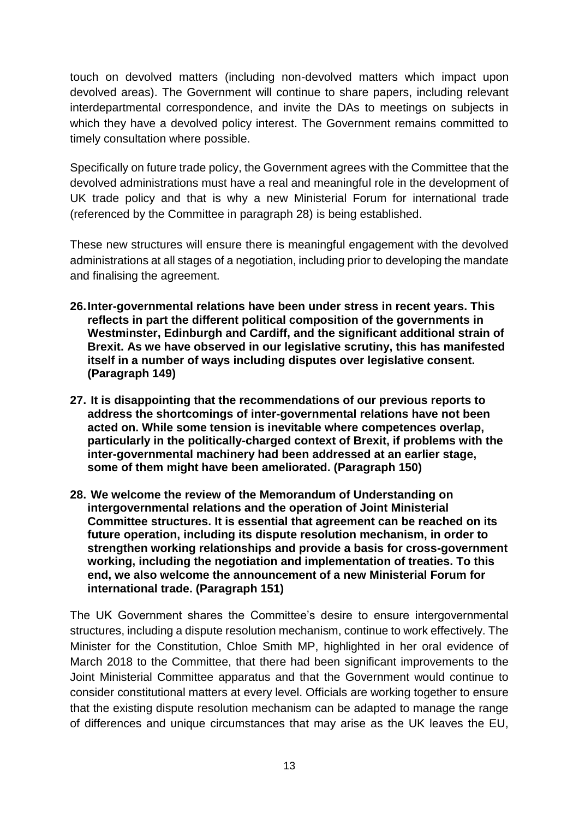touch on devolved matters (including non-devolved matters which impact upon devolved areas). The Government will continue to share papers, including relevant interdepartmental correspondence, and invite the DAs to meetings on subjects in which they have a devolved policy interest. The Government remains committed to timely consultation where possible.

Specifically on future trade policy, the Government agrees with the Committee that the devolved administrations must have a real and meaningful role in the development of UK trade policy and that is why a new Ministerial Forum for international trade (referenced by the Committee in paragraph 28) is being established.

These new structures will ensure there is meaningful engagement with the devolved administrations at all stages of a negotiation, including prior to developing the mandate and finalising the agreement.

- **26.Inter-governmental relations have been under stress in recent years. This reflects in part the different political composition of the governments in Westminster, Edinburgh and Cardiff, and the significant additional strain of Brexit. As we have observed in our legislative scrutiny, this has manifested itself in a number of ways including disputes over legislative consent. (Paragraph 149)**
- **27. It is disappointing that the recommendations of our previous reports to address the shortcomings of inter-governmental relations have not been acted on. While some tension is inevitable where competences overlap, particularly in the politically-charged context of Brexit, if problems with the inter-governmental machinery had been addressed at an earlier stage, some of them might have been ameliorated. (Paragraph 150)**
- **28. We welcome the review of the Memorandum of Understanding on intergovernmental relations and the operation of Joint Ministerial Committee structures. It is essential that agreement can be reached on its future operation, including its dispute resolution mechanism, in order to strengthen working relationships and provide a basis for cross-government working, including the negotiation and implementation of treaties. To this end, we also welcome the announcement of a new Ministerial Forum for international trade. (Paragraph 151)**

The UK Government shares the Committee's desire to ensure intergovernmental structures, including a dispute resolution mechanism, continue to work effectively. The Minister for the Constitution, Chloe Smith MP, highlighted in her oral evidence of March 2018 to the Committee, that there had been significant improvements to the Joint Ministerial Committee apparatus and that the Government would continue to consider constitutional matters at every level. Officials are working together to ensure that the existing dispute resolution mechanism can be adapted to manage the range of differences and unique circumstances that may arise as the UK leaves the EU,